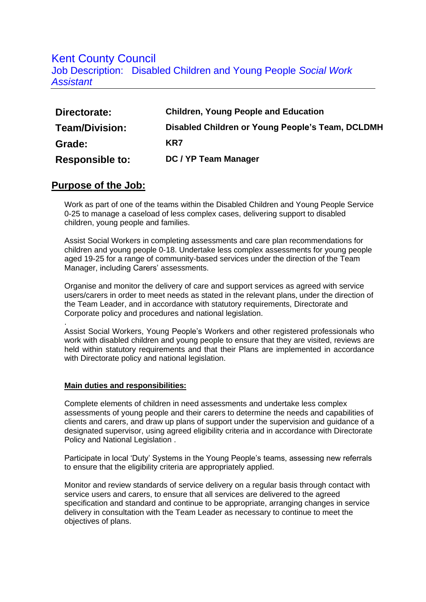## Kent County Council

Job Description: Disabled Children and Young People *Social Work Assistant* 

| Directorate:           | <b>Children, Young People and Education</b>      |
|------------------------|--------------------------------------------------|
| Team/Division:         | Disabled Children or Young People's Team, DCLDMH |
| Grade:                 | KR7                                              |
| <b>Responsible to:</b> | DC / YP Team Manager                             |

## **Purpose of the Job:**

.

Work as part of one of the teams within the Disabled Children and Young People Service 0-25 to manage a caseload of less complex cases, delivering support to disabled children, young people and families.

Assist Social Workers in completing assessments and care plan recommendations for children and young people 0-18. Undertake less complex assessments for young people aged 19-25 for a range of community-based services under the direction of the Team Manager, including Carers' assessments.

Organise and monitor the delivery of care and support services as agreed with service users/carers in order to meet needs as stated in the relevant plans, under the direction of the Team Leader, and in accordance with statutory requirements, Directorate and Corporate policy and procedures and national legislation.

Assist Social Workers, Young People's Workers and other registered professionals who work with disabled children and young people to ensure that they are visited, reviews are held within statutory requirements and that their Plans are implemented in accordance with Directorate policy and national legislation.

## **Main duties and responsibilities:**

Complete elements of children in need assessments and undertake less complex assessments of young people and their carers to determine the needs and capabilities of clients and carers, and draw up plans of support under the supervision and guidance of a designated supervisor, using agreed eligibility criteria and in accordance with Directorate Policy and National Legislation .

Participate in local 'Duty' Systems in the Young People's teams, assessing new referrals to ensure that the eligibility criteria are appropriately applied.

Monitor and review standards of service delivery on a regular basis through contact with service users and carers, to ensure that all services are delivered to the agreed specification and standard and continue to be appropriate, arranging changes in service delivery in consultation with the Team Leader as necessary to continue to meet the objectives of plans.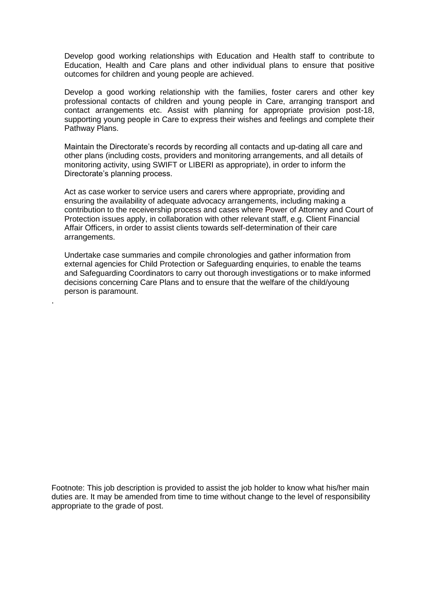Develop good working relationships with Education and Health staff to contribute to Education, Health and Care plans and other individual plans to ensure that positive outcomes for children and young people are achieved.

Develop a good working relationship with the families, foster carers and other key professional contacts of children and young people in Care, arranging transport and contact arrangements etc. Assist with planning for appropriate provision post-18, supporting young people in Care to express their wishes and feelings and complete their Pathway Plans.

Maintain the Directorate's records by recording all contacts and up-dating all care and other plans (including costs, providers and monitoring arrangements, and all details of monitoring activity, using SWIFT or LIBERI as appropriate), in order to inform the Directorate's planning process.

Act as case worker to service users and carers where appropriate, providing and ensuring the availability of adequate advocacy arrangements, including making a contribution to the receivership process and cases where Power of Attorney and Court of Protection issues apply, in collaboration with other relevant staff, e.g. Client Financial Affair Officers, in order to assist clients towards self-determination of their care arrangements.

Undertake case summaries and compile chronologies and gather information from external agencies for Child Protection or Safeguarding enquiries, to enable the teams and Safeguarding Coordinators to carry out thorough investigations or to make informed decisions concerning Care Plans and to ensure that the welfare of the child/young person is paramount.

.

Footnote: This job description is provided to assist the job holder to know what his/her main duties are. It may be amended from time to time without change to the level of responsibility appropriate to the grade of post.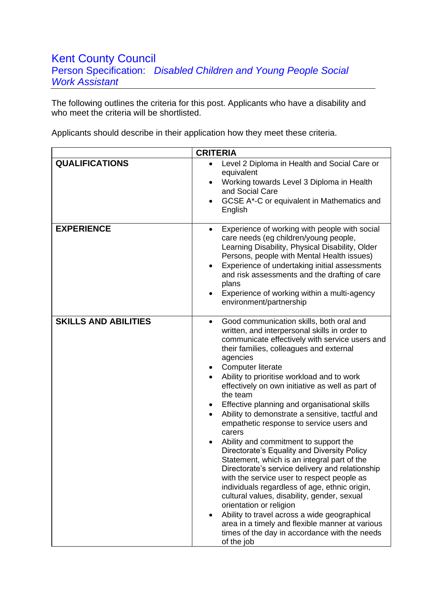## Kent County Council Person Specification: *Disabled Children and Young People Social Work Assistant*

The following outlines the criteria for this post. Applicants who have a disability and who meet the criteria will be shortlisted.

Applicants should describe in their application how they meet these criteria.

|                             | <b>CRITERIA</b>                                                                                                                                                                                                                                                                                                                                                                                                                                                                                                                                                                                                                                                                                                                                                                                                                                                                                                                                                                                                                                                                                  |
|-----------------------------|--------------------------------------------------------------------------------------------------------------------------------------------------------------------------------------------------------------------------------------------------------------------------------------------------------------------------------------------------------------------------------------------------------------------------------------------------------------------------------------------------------------------------------------------------------------------------------------------------------------------------------------------------------------------------------------------------------------------------------------------------------------------------------------------------------------------------------------------------------------------------------------------------------------------------------------------------------------------------------------------------------------------------------------------------------------------------------------------------|
| <b>QUALIFICATIONS</b>       | Level 2 Diploma in Health and Social Care or<br>$\bullet$<br>equivalent<br>Working towards Level 3 Diploma in Health<br>$\bullet$<br>and Social Care<br>GCSE A*-C or equivalent in Mathematics and<br>$\bullet$<br>English                                                                                                                                                                                                                                                                                                                                                                                                                                                                                                                                                                                                                                                                                                                                                                                                                                                                       |
| <b>EXPERIENCE</b>           | Experience of working with people with social<br>care needs (eg children/young people,<br>Learning Disability, Physical Disability, Older<br>Persons, people with Mental Health issues)<br>Experience of undertaking initial assessments<br>$\bullet$<br>and risk assessments and the drafting of care<br>plans<br>Experience of working within a multi-agency<br>environment/partnership                                                                                                                                                                                                                                                                                                                                                                                                                                                                                                                                                                                                                                                                                                        |
| <b>SKILLS AND ABILITIES</b> | Good communication skills, both oral and<br>$\bullet$<br>written, and interpersonal skills in order to<br>communicate effectively with service users and<br>their families, colleagues and external<br>agencies<br><b>Computer literate</b><br>٠<br>Ability to prioritise workload and to work<br>effectively on own initiative as well as part of<br>the team<br>Effective planning and organisational skills<br>٠<br>Ability to demonstrate a sensitive, tactful and<br>$\bullet$<br>empathetic response to service users and<br>carers<br>Ability and commitment to support the<br>$\bullet$<br>Directorate's Equality and Diversity Policy<br>Statement, which is an integral part of the<br>Directorate's service delivery and relationship<br>with the service user to respect people as<br>individuals regardless of age, ethnic origin,<br>cultural values, disability, gender, sexual<br>orientation or religion<br>Ability to travel across a wide geographical<br>٠<br>area in a timely and flexible manner at various<br>times of the day in accordance with the needs<br>of the job |